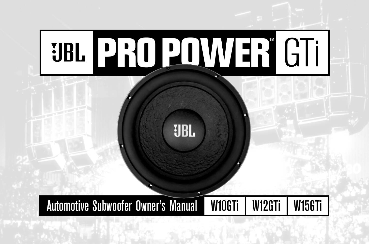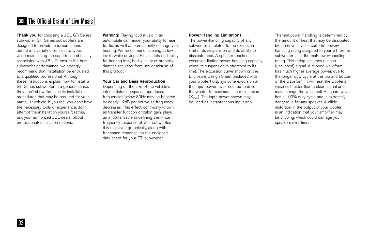## **FIBL The Official Brand of Live Music**

**Thank you** for choosing a JBL GTi Series subwoofer. GTi Series subwoofers are designed to provide maximum sound output in a variety of enclosure types while maintaining the superb sound quality associated with JBL. To ensure the best subwoofer performance, we strongly recommend that installation be entrusted to a qualified professional. Although these instructions explain how to install a GTi Series subwoofer in a general sense, they don't show the specific installation procedures that may be required for your particular vehicle. If you feel you don't have the necessary tools or experience, don't attempt the installation yourself; rather, ask your authorized JBL dealer about professional-installation options.

**Warning:** Playing loud music in an automobile can hinder your ability to hear traffic, as well as permanently damage your hearing. We recommend listening at low levels while driving. JBL accepts no liability for hearing loss, bodily injury or property damage resulting from use or misuse of this product.

## **Your Car and Bass Reproduction**

Depending on the size of the vehicle's interior listening space, reproduced frequencies below 80Hz may be boosted by nearly 12dB per octave as frequency decreases. This effect, commonly known as transfer function or cabin gain, plays an important role in defining the in-car frequency response of your subwoofer. It is displayed graphically, along with freespace response, on the enclosed data sheet for your GTi subwoofer.

#### **Power-Handling Limitations**

The power-handling capacity of any subwoofer is related to the excursion limit of its suspension and its ability to dissipate heat. A speaker reaches its excursion-limited power-handling capacity when its suspension is stretched to its limit. The excursion curve shown on the Enclosure Design Sheet (included with your woofer) displays cone excursion at the input power level required to drive the woofer to maximum linear excursion  $(X_{\text{max}})$ . The input power shown may be used as instantaneous input only.

Thermal power handling is determined by the amount of heat that may be dissipated by the driver's voice coil. The powerhandling rating assigned to your GTi Series subwoofer is its thermal-power-handling rating. This rating assumes a clean (unclipped) signal. A clipped waveform has much higher average power, due to the longer duty cycle at the top and bottom of the waveform; it will heat the woofer's voice coil faster than a clean signal and may damage the voice coil. A square wave has a 100% duty cycle and is extremely dangerous for any speaker. Audible distortion in the output of your woofer is an indication that your amplifier may be clipping, which could damage your speakers over time.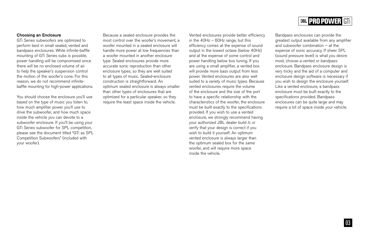### **Choosing an Enclosure**

GTi Series subwoofers are optimized to perform best in small sealed, vented and bandpass enclosures. While infinite-baffle mounting of GTi Series subs is possible, power handling will be compromised since there will be no enclosed volume of air to help the speaker's suspension control the motion of the woofer's cone. For this reason, we do not recommend infinitebaffle mounting for high-power applications.

You should choose the enclosure you'll use based on the type of music you listen to, how much amplifier power you'll use to drive the subwoofer, and how much space inside the vehicle you can devote to a subwoofer enclosure. If you'll be using your GTi Series subwoofer for SPL competition, please see the document titled "GTi as SPL Competition Subwoofers" (included with your woofer).

Because a sealed enclosure provides the most control over the woofer's movement, a woofer mounted in a sealed enclosure will handle more power at low frequencies than a woofer mounted in another enclosure type. Sealed enclosures provide more accurate sonic reproduction than other enclosure types, so they are well suited to all types of music. Sealed-enclosure construction is straightforward. An optimum sealed enclosure is always smaller than other types of enclosures that are optimized for a particular speaker, so they require the least space inside the vehicle.

Vented enclosures provide better efficiency in the 40Hz – 60Hz range, but this efficiency comes at the expense of sound output in the lowest octave (below 40Hz) and at the expense of some control and power handling below box tuning. If you are using a small amplifier, a vented box will provide more bass output from less power. Vented enclosures are also well suited to a variety of music types. Because vented enclosures require the volume of the enclosure and the size of the port to have a specific relationship with the characteristics of the woofer, the enclosure must be built exactly to the specifications provided. If you wish to use a vented enclosure, we strongly recommend having your authorized JBL dealer build it; or verify that your design is correct if you wish to build it yourself. An optimum vented enclosure is always larger than the optimum sealed box for the same woofer, and will require more space inside the vehicle.

# **BBL PRO POWER GTI**

Bandpass enclosures can provide the greatest output available from any amplifier and subwoofer combination – at the expense of sonic accuracy. If sheer SPL (sound pressure level) is what you desire most, choose a vented or bandpass enclosure. Bandpass enclosure design is very tricky and the aid of a computer and enclosure design software is necessary if you wish to design the enclosure yourself. Like a vented enclosure, a bandpass enclosure must be built exactly to the specifications provided. Bandpass enclosures can be quite large and may require a lot of space inside your vehicle.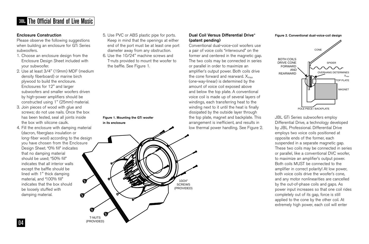# The Official Brand of Live Music

## **Enclosure Construction**

Please observe the following suggestions when building an enclosure for GTi Series subwoofers.

- 1. Choose an enclosure design from the Enclosure Design Sheet included with your subwoofer.
- 2. Use at least 3/4" (19mm) MDF (medium density fiberboard) or marine birch plywood to build the enclosure. Enclosures for 12" and larger subwoofers and smaller woofers driven by high-power amplifiers should be constructed using 1" (25mm) material.
- 3. Join pieces of wood with glue and screws; do not use nails. Once the box has been tested, seal all joints inside the box with silicone caulk.
- 4. Fill the enclosure with damping material (dacron, fiberglass insulation or long-fiber wool) according to the design you have chosen from the Enclosure Design Sheet. "0% fill" indicates that no damping material should be used; "50% fill" indicates that all interior walls except the baffle should be lined with 1" thick damping material, and "100% fill"  $\boldsymbol{\mathfrak{G}}$ indicates that the box should be loosely stuffed with damping material. Q
- 5. Use PVC or ABS plastic pipe for ports. Keep in mind that the openings at either end of the port must be at least one port diameter away from any obstruction.
- 6. Use the 10/24" machine screws and T-nuts provided to mount the woofer to the baffle. See Figure 1.

**Figure 1. Mounting the GTi woofer in its enclosure**

## **Dual Coil Versus Differential Drive® (patent pending)**

Conventional dual-voice-coil woofers use a pair of voice coils "interwound" on the former and centered in the magnetic gap. The two coils may be connected in series or parallel in order to maximize an amplifier's output power. Both coils drive the cone forward and rearward.  $X_{\text{max}}$ (one-way-linear) is determined by the amount of voice coil exposed above and below the top plate. A conventional voice coil is made up of several layers of windings, each transferring heat to the winding next to it until the heat is finally dissipated by the outside layer through the top plate, magnet and backplate. This arrangement is inefficient, and results in low thermal power handling. See Figure 2.

#### **Figure 2. Conventional dual-voice-coil design**



JBL GTi Series subwoofers employ Differential Drive, a technology developed by JBL Professional. Differential Drive employs two voice coils positioned at opposite ends of the former, each suspended in a separate magnetic gap. These two coils may be connected in series or parallel, like a conventional DVC woofer, to maximize an amplifier's output power. Both coils MUST be connected to the amplifier in correct polarity! At low power, both voice coils drive the woofer's cone, and any motor nonlinearities are cancelled by the out-of-phase coils and gaps. As power input increases so that one coil rides completely out of its gap, force is still applied to the cone by the other coil. At extremely high power, each coil will enter

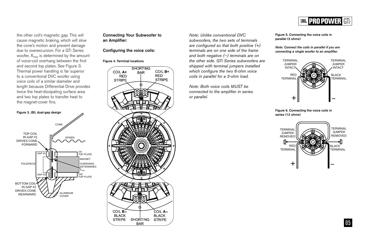

the other coil's magnetic gap. This will cause magnetic braking, which will slow the cone's motion and prevent damage due to overexcursion. For a GTi Series woofer,  $X_{\text{max}}$  is determined by the amount of voice-coil overhang between the first and second top plates. See Figure 3. Thermal power handling is far superior to a conventional DVC woofer using voice coils of a similar diameter and length because Differential Drive provides twice the heat-dissipating surface area and two top plates to transfer heat to the magnet-cover fins.





## **Connecting Your Subwoofer to an Amplifier:**

**Configuring the voice coils:**

#### **Figure 4. Terminal locations**



*Note: Unlike conventional DVC subwoofers, the two sets of terminals are configured so that both positive (+) terminals are on one side of the frame and both negative (–) terminals are on the other side. GTi Series subwoofers are shipped with terminal jumpers installed which configure the two 6-ohm voice coils in parallel for a 3-ohm load.*

*Note: Both voice coils MUST be connected to the amplifier in series or parallel.*

**Figure 5. Connecting the voice coils in parallel (3 ohms)**

*Note: Connect the coils in parallel if you are connecting a single woofer to an amplifier.*



**Figure 6. Connecting the voice coils in series (12 ohms)**



05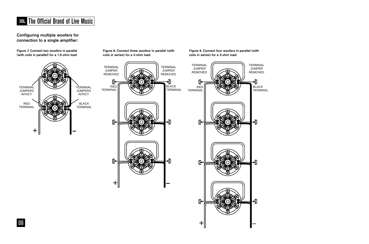# The Official Brand of Live Music

**Configuring multiple woofers for connection to a single amplifier:**



**Figure 9. Connect four woofers in parallel (with**

+

၉€

→য়ৣ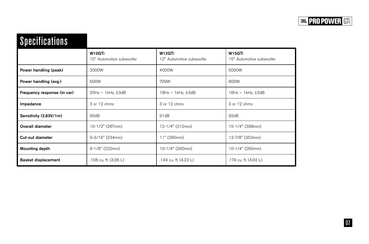# Specifications

|                             | W10GTi<br>10" Automotive subwoofer | W12GTi<br>12" Automotive subwoofer | W <sub>15</sub> GTi<br>15" Automotive subwoofer |
|-----------------------------|------------------------------------|------------------------------------|-------------------------------------------------|
| Power handling (peak)       | 3000W                              | 4000W                              | 5000W                                           |
| Power handling (avg.)       | 600W                               | 700W                               | 800W                                            |
| Frequency response (in-car) | $20Hz - 1kHz, \pm 3dB$             | $18Hz - 1kHz$ , $\pm 3dB$          | $16Hz - 1kHz$ , $\pm 3dB$                       |
| Impedance                   | 3 or 12 ohms                       | 3 or 12 ohms                       | 3 or 12 ohms                                    |
| Sensitivity (2.83V/1m)      | 90dB                               | 91dB                               | 92dB                                            |
| Overall diameter            | 10-1/2" (267mm)                    | 12-1/4" (312mm)                    | 15-1/4" (388mm)                                 |
| <b>Cut-out diameter</b>     | 9-3/16" (234mm)                    | 11" (280mm)                        | 13-7/8" (353mm)                                 |
| <b>Mounting depth</b>       | $9-1/8$ " (232mm)                  | 10-1/4" (260mm)                    | 10-1/4" (260mm)                                 |
| <b>Basket displacement</b>  | .108 cu. ft. (3.06 L)              | .149 cu. ft. (4.23 L)              | .174 cu. ft. (4.93 L)                           |